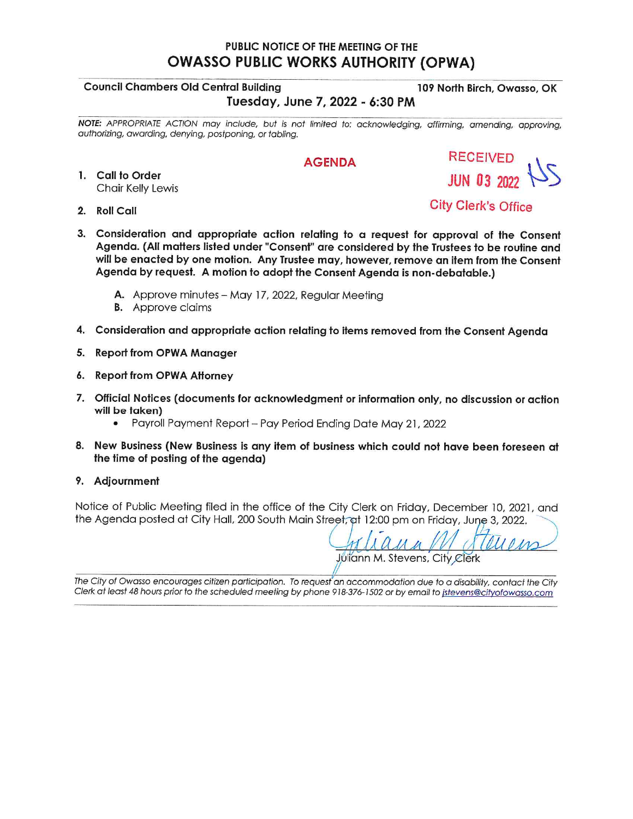### PUBLIC NOTICE OF THE MEETING OF THE **OWASSO PUBLIC WORKS AUTHORITY (OPWA)**

#### **Council Chambers Old Central Building**

### Tuesday, June 7, 2022 - 6:30 PM

NOTE: APPROPRIATE ACTION may include, but is not limited to: acknowledging, affirming, amending, approving, authorizing, awarding, denying, postponing, or tabling.

#### **AGENDA**

- 1. Call to Order **Chair Kelly Lewis**
- 2. Roll Call

**City Clerk's Office** 

**RECEIVED** 

**JUN 03 2022** 

- 3. Consideration and appropriate action relating to a request for approval of the Consent Agenda. (All matters listed under "Consent" are considered by the Trustees to be routine and will be enacted by one motion. Any Trustee may, however, remove an item from the Consent Agenda by request. A motion to adopt the Consent Agenda is non-debatable.)
	- A. Approve minutes May 17, 2022, Regular Meeting
	- **B.** Approve claims
- 4. Consideration and appropriate action relating to items removed from the Consent Agenda
- 5. Report from OPWA Manager
- 6. Report from OPWA Attorney
- 7. Official Notices (documents for acknowledgment or information only, no discussion or action will be taken)
	- Payroll Payment Report Pay Period Ending Date May 21, 2022
- 8. New Business (New Business is any item of business which could not have been foreseen at the time of posting of the agenda)
- 9. Adjournment

Notice of Public Meeting filed in the office of the City Clerk on Friday, December 10, 2021, and the Agenda posted at City Hall, 200 South Main Street, at 12:00 pm on Friday, June 3, 2022.

Juliann M. Stevens, City Clerk

The City of Owasso encourages citizen participation. To request an accommodation due to a disability, contact the City Clerk at least 48 hours prior to the scheduled meeting by phone 918-376-1502 or by email to istevens@cityofowasso.com

109 North Birch, Owasso, OK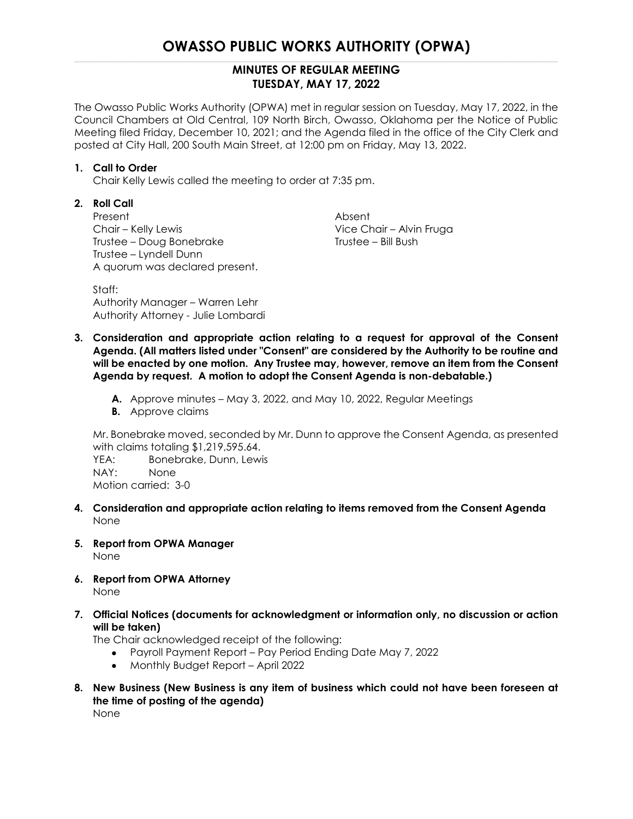## **OWASSO PUBLIC WORKS AUTHORITY (OPWA)**

### **MINUTES OF REGULAR MEETING TUESDAY, MAY 17, 2022**

The Owasso Public Works Authority (OPWA) met in regular session on Tuesday, May 17, 2022, in the Council Chambers at Old Central, 109 North Birch, Owasso, Oklahoma per the Notice of Public Meeting filed Friday, December 10, 2021; and the Agenda filed in the office of the City Clerk and posted at City Hall, 200 South Main Street, at 12:00 pm on Friday, May 13, 2022.

#### **1. Call to Order**

Chair Kelly Lewis called the meeting to order at 7:35 pm.

### **2. Roll Call**

Present Absent Chair – Kelly Lewis Vice Chair – Alvin Fruga Trustee – Doug Bonebrake Trustee – Bill Bush Trustee – Lyndell Dunn A quorum was declared present.

Staff: Authority Manager – Warren Lehr Authority Attorney - Julie Lombardi

- **3. Consideration and appropriate action relating to a request for approval of the Consent Agenda. (All matters listed under "Consent" are considered by the Authority to be routine and will be enacted by one motion. Any Trustee may, however, remove an item from the Consent Agenda by request. A motion to adopt the Consent Agenda is non-debatable.)**
	- **A.** Approve minutes May 3, 2022, and May 10, 2022, Regular Meetings
	- **B.** Approve claims

Mr. Bonebrake moved, seconded by Mr. Dunn to approve the Consent Agenda, as presented with claims totaling \$1,219,595.64.

YEA: Bonebrake, Dunn, Lewis NAY: None Motion carried: 3-0

- **4. Consideration and appropriate action relating to items removed from the Consent Agenda** None
- **5. Report from OPWA Manager** None
- **6. Report from OPWA Attorney** None
- **7. Official Notices (documents for acknowledgment or information only, no discussion or action will be taken)**

The Chair acknowledged receipt of the following:

- Payroll Payment Report Pay Period Ending Date May 7, 2022
- Monthly Budget Report April 2022
- **8. New Business (New Business is any item of business which could not have been foreseen at the time of posting of the agenda)** None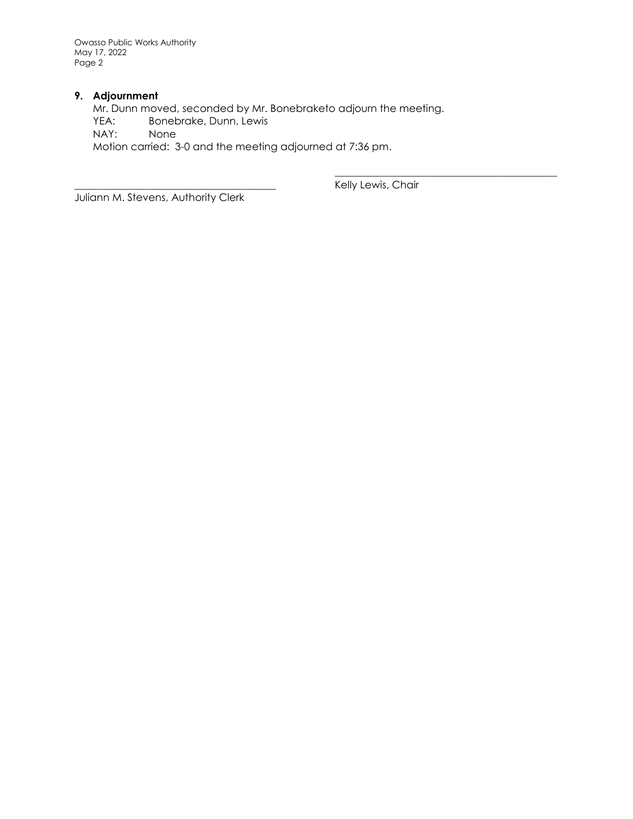Owasso Public Works Authority May 17, 2022 Page 2

### **9. Adjournment**

Mr. Dunn moved, seconded by Mr. Bonebraketo adjourn the meeting. YEA: Bonebrake, Dunn, Lewis<br>NAY: None NAY: Motion carried: 3-0 and the meeting adjourned at 7:36 pm.

Juliann M. Stevens, Authority Clerk

Kelly Lewis, Chair

\_\_\_\_\_\_\_\_\_\_\_\_\_\_\_\_\_\_\_\_\_\_\_\_\_\_\_\_\_\_\_\_\_\_\_\_\_\_\_\_\_\_\_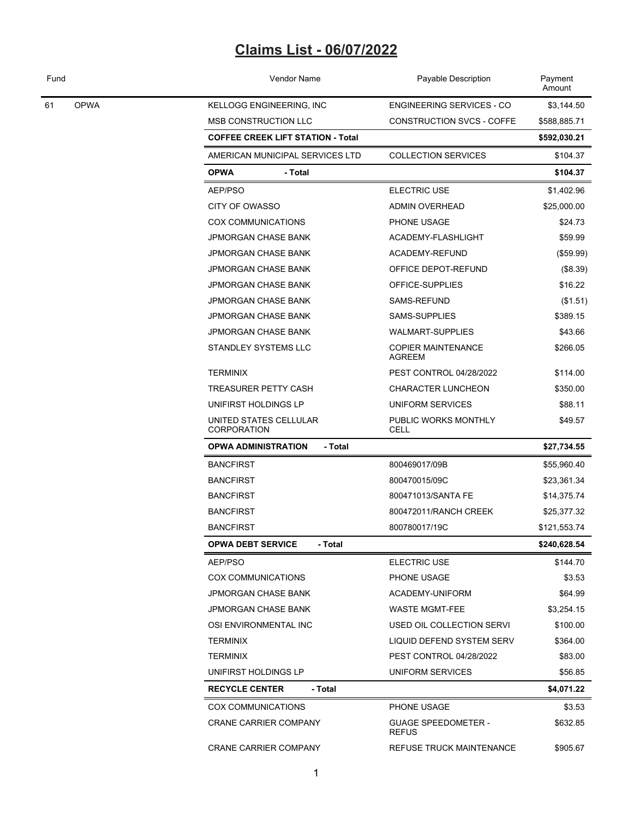| Fund |             | Vendor Name                              | Payable Description                        | Payment<br>Amount |  |
|------|-------------|------------------------------------------|--------------------------------------------|-------------------|--|
| 61   | <b>OPWA</b> | KELLOGG ENGINEERING, INC                 | <b>ENGINEERING SERVICES - CO</b>           | \$3,144.50        |  |
|      |             | MSB CONSTRUCTION LLC                     | <b>CONSTRUCTION SVCS - COFFE</b>           | \$588,885.71      |  |
|      |             | <b>COFFEE CREEK LIFT STATION - Total</b> |                                            | \$592,030.21      |  |
|      |             | AMERICAN MUNICIPAL SERVICES LTD          | <b>COLLECTION SERVICES</b>                 | \$104.37          |  |
|      |             | <b>OPWA</b><br>- Total                   |                                            | \$104.37          |  |
|      |             | AEP/PSO                                  | <b>ELECTRIC USE</b>                        | \$1,402.96        |  |
|      |             | CITY OF OWASSO                           | <b>ADMIN OVERHEAD</b>                      | \$25,000.00       |  |
|      |             | COX COMMUNICATIONS                       | PHONE USAGE                                | \$24.73           |  |
|      |             | <b>JPMORGAN CHASE BANK</b>               | ACADEMY-FLASHLIGHT                         | \$59.99           |  |
|      |             | <b>JPMORGAN CHASE BANK</b>               | ACADEMY-REFUND                             | (\$59.99)         |  |
|      |             | <b>JPMORGAN CHASE BANK</b>               | OFFICE DEPOT-REFUND                        | (\$8.39)          |  |
|      |             | <b>JPMORGAN CHASE BANK</b>               | OFFICE-SUPPLIES                            | \$16.22           |  |
|      |             | <b>JPMORGAN CHASE BANK</b>               | SAMS-REFUND                                | (\$1.51)          |  |
|      |             | <b>JPMORGAN CHASE BANK</b>               | SAMS-SUPPLIES                              | \$389.15          |  |
|      |             | <b>JPMORGAN CHASE BANK</b>               | <b>WALMART-SUPPLIES</b>                    | \$43.66           |  |
|      |             | STANDLEY SYSTEMS LLC                     | <b>COPIER MAINTENANCE</b><br>AGREEM        | \$266.05          |  |
|      |             | <b>TERMINIX</b>                          | PEST CONTROL 04/28/2022                    | \$114.00          |  |
|      |             | <b>TREASURER PETTY CASH</b>              | <b>CHARACTER LUNCHEON</b>                  | \$350.00          |  |
|      |             | UNIFIRST HOLDINGS LP                     | UNIFORM SERVICES                           | \$88.11           |  |
|      |             | UNITED STATES CELLULAR<br>CORPORATION    | PUBLIC WORKS MONTHLY<br><b>CELL</b>        | \$49.57           |  |
|      |             | <b>OPWA ADMINISTRATION</b><br>- Total    |                                            | \$27,734.55       |  |
|      |             | <b>BANCFIRST</b>                         | 800469017/09B                              | \$55,960.40       |  |
|      |             | <b>BANCFIRST</b>                         | 800470015/09C                              | \$23,361.34       |  |
|      |             | <b>BANCFIRST</b>                         | 800471013/SANTA FE                         | \$14,375.74       |  |
|      |             | <b>BANCFIRST</b>                         | 800472011/RANCH CREEK                      | \$25,377.32       |  |
|      |             | BANCFIRST                                | 800780017/19C                              | \$121,553.74      |  |
|      |             | <b>OPWA DEBT SERVICE</b><br>- Total      |                                            | \$240,628.54      |  |
|      |             | AEP/PSO                                  | ELECTRIC USE                               | \$144.70          |  |
|      |             | <b>COX COMMUNICATIONS</b>                | PHONE USAGE                                | \$3.53            |  |
|      |             | JPMORGAN CHASE BANK                      | ACADEMY-UNIFORM                            | \$64.99           |  |
|      |             | <b>JPMORGAN CHASE BANK</b>               | WASTE MGMT-FEE                             | \$3,254.15        |  |
|      |             | OSI ENVIRONMENTAL INC                    | USED OIL COLLECTION SERVI                  | \$100.00          |  |
|      |             | <b>TERMINIX</b>                          | LIQUID DEFEND SYSTEM SERV                  | \$364.00          |  |
|      |             | <b>TERMINIX</b>                          | PEST CONTROL 04/28/2022                    | \$83.00           |  |
|      |             | UNIFIRST HOLDINGS LP                     | UNIFORM SERVICES                           | \$56.85           |  |
|      |             | - Total<br><b>RECYCLE CENTER</b>         |                                            | \$4,071.22        |  |
|      |             | <b>COX COMMUNICATIONS</b>                | PHONE USAGE                                | \$3.53            |  |
|      |             | <b>CRANE CARRIER COMPANY</b>             | <b>GUAGE SPEEDOMETER -</b><br><b>REFUS</b> | \$632.85          |  |
|      |             | <b>CRANE CARRIER COMPANY</b>             | REFUSE TRUCK MAINTENANCE                   | \$905.67          |  |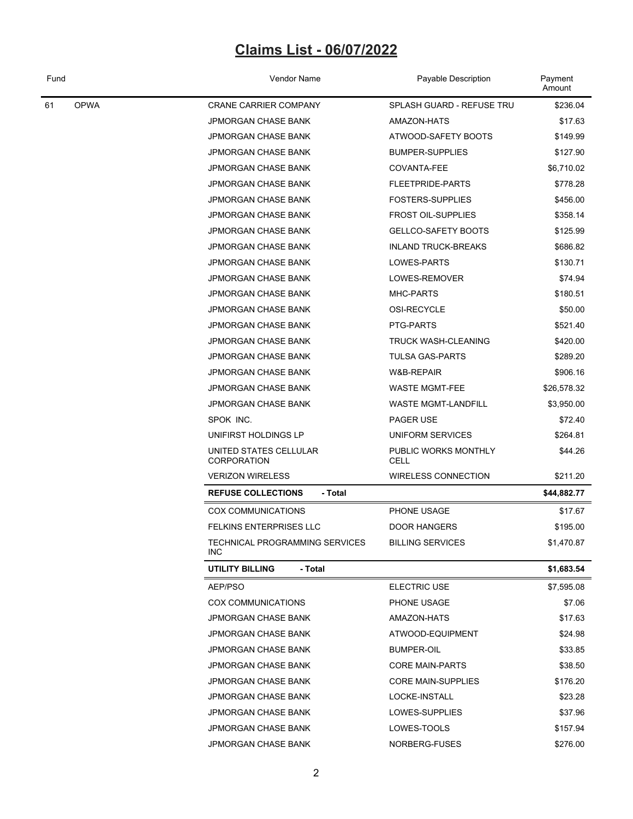| Fund              | Vendor Name                                  | Payable Description          | Payment<br>Amount |  |
|-------------------|----------------------------------------------|------------------------------|-------------------|--|
| <b>OPWA</b><br>61 | <b>CRANE CARRIER COMPANY</b>                 | SPLASH GUARD - REFUSE TRU    | \$236.04          |  |
|                   | JPMORGAN CHASE BANK                          | AMAZON-HATS                  | \$17.63           |  |
|                   | JPMORGAN CHASE BANK                          | ATWOOD-SAFETY BOOTS          | \$149.99          |  |
|                   | JPMORGAN CHASE BANK                          | <b>BUMPER-SUPPLIES</b>       | \$127.90          |  |
|                   | JPMORGAN CHASE BANK                          | COVANTA-FEE                  | \$6,710.02        |  |
|                   | JPMORGAN CHASE BANK                          | FLEETPRIDE-PARTS             | \$778.28          |  |
|                   | <b>JPMORGAN CHASE BANK</b>                   | <b>FOSTERS-SUPPLIES</b>      | \$456.00          |  |
|                   | <b>JPMORGAN CHASE BANK</b>                   | <b>FROST OIL-SUPPLIES</b>    | \$358.14          |  |
|                   | JPMORGAN CHASE BANK                          | <b>GELLCO-SAFETY BOOTS</b>   | \$125.99          |  |
|                   | <b>JPMORGAN CHASE BANK</b>                   | <b>INLAND TRUCK-BREAKS</b>   | \$686.82          |  |
|                   | JPMORGAN CHASE BANK                          | LOWES-PARTS                  | \$130.71          |  |
|                   | JPMORGAN CHASE BANK                          | LOWES-REMOVER                | \$74.94           |  |
|                   | JPMORGAN CHASE BANK                          | MHC-PARTS                    | \$180.51          |  |
|                   | JPMORGAN CHASE BANK                          | OSI-RECYCLE                  | \$50.00           |  |
|                   | <b>JPMORGAN CHASE BANK</b>                   | PTG-PARTS                    | \$521.40          |  |
|                   | JPMORGAN CHASE BANK                          | TRUCK WASH-CLEANING          | \$420.00          |  |
|                   | JPMORGAN CHASE BANK                          | <b>TULSA GAS-PARTS</b>       | \$289.20          |  |
|                   | JPMORGAN CHASE BANK                          | W&B-REPAIR                   | \$906.16          |  |
|                   | <b>JPMORGAN CHASE BANK</b>                   | <b>WASTE MGMT-FEE</b>        | \$26,578.32       |  |
|                   | JPMORGAN CHASE BANK                          | <b>WASTE MGMT-LANDFILL</b>   | \$3,950.00        |  |
|                   | SPOK INC.                                    | PAGER USE                    | \$72.40           |  |
|                   | UNIFIRST HOLDINGS LP                         | UNIFORM SERVICES             | \$264.81          |  |
|                   | UNITED STATES CELLULAR<br><b>CORPORATION</b> | PUBLIC WORKS MONTHLY<br>CELL | \$44.26           |  |
|                   | <b>VERIZON WIRELESS</b>                      | WIRELESS CONNECTION          | \$211.20          |  |
|                   | <b>REFUSE COLLECTIONS</b><br>- Total         |                              | \$44,882.77       |  |
|                   | <b>COX COMMUNICATIONS</b>                    | PHONE USAGE                  | \$17.67           |  |
|                   | <b>FELKINS ENTERPRISES LLC</b>               | <b>DOOR HANGERS</b>          | \$195.00          |  |
|                   | TECHNICAL PROGRAMMING SERVICES<br><b>INC</b> | <b>BILLING SERVICES</b>      | \$1,470.87        |  |
|                   | UTILITY BILLING<br>- Total                   |                              | \$1,683.54        |  |
|                   | AEP/PSO                                      | ELECTRIC USE                 | \$7,595.08        |  |
|                   | <b>COX COMMUNICATIONS</b>                    | PHONE USAGE                  | \$7.06            |  |
|                   | JPMORGAN CHASE BANK                          | AMAZON-HATS                  | \$17.63           |  |
|                   | JPMORGAN CHASE BANK                          | ATWOOD-EQUIPMENT             | \$24.98           |  |
|                   | JPMORGAN CHASE BANK                          | BUMPER-OIL                   | \$33.85           |  |
|                   | JPMORGAN CHASE BANK                          | <b>CORE MAIN-PARTS</b>       | \$38.50           |  |
|                   | JPMORGAN CHASE BANK                          | <b>CORE MAIN-SUPPLIES</b>    | \$176.20          |  |
|                   | JPMORGAN CHASE BANK                          | LOCKE-INSTALL                | \$23.28           |  |
|                   | JPMORGAN CHASE BANK                          | LOWES-SUPPLIES               | \$37.96           |  |
|                   | JPMORGAN CHASE BANK                          | LOWES-TOOLS                  | \$157.94          |  |
|                   | JPMORGAN CHASE BANK                          | NORBERG-FUSES                | \$276.00          |  |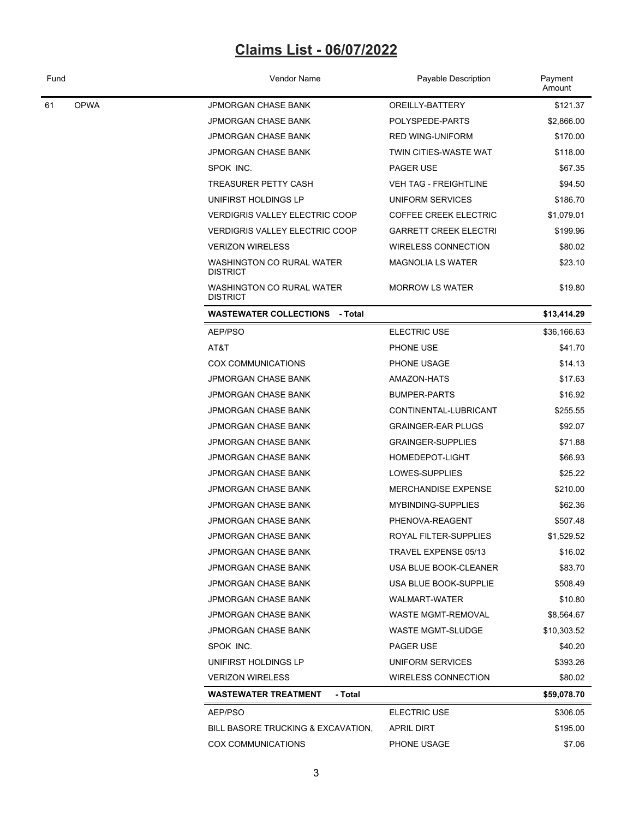| Fund |             | Vendor Name                                  | Payable Description          | Payment<br>Amount |  |
|------|-------------|----------------------------------------------|------------------------------|-------------------|--|
| 61   | <b>OPWA</b> | <b>JPMORGAN CHASE BANK</b>                   | OREILLY-BATTERY              | \$121.37          |  |
|      |             | <b>JPMORGAN CHASE BANK</b>                   | POLYSPEDE-PARTS              | \$2,866.00        |  |
|      |             | <b>JPMORGAN CHASE BANK</b>                   | <b>RED WING-UNIFORM</b>      | \$170.00          |  |
|      |             | <b>JPMORGAN CHASE BANK</b>                   | TWIN CITIES-WASTE WAT        | \$118.00          |  |
|      |             | SPOK INC.                                    | PAGER USE                    | \$67.35           |  |
|      |             | TREASURER PETTY CASH                         | <b>VEH TAG - FREIGHTLINE</b> | \$94.50           |  |
|      |             | UNIFIRST HOLDINGS LP                         | <b>UNIFORM SERVICES</b>      | \$186.70          |  |
|      |             | <b>VERDIGRIS VALLEY ELECTRIC COOP</b>        | <b>COFFEE CREEK ELECTRIC</b> | \$1,079.01        |  |
|      |             | <b>VERDIGRIS VALLEY ELECTRIC COOP</b>        | <b>GARRETT CREEK ELECTRI</b> | \$199.96          |  |
|      |             | <b>VERIZON WIRELESS</b>                      | <b>WIRELESS CONNECTION</b>   | \$80.02           |  |
|      |             | WASHINGTON CO RURAL WATER<br><b>DISTRICT</b> | <b>MAGNOLIA LS WATER</b>     | \$23.10           |  |
|      |             | WASHINGTON CO RURAL WATER<br><b>DISTRICT</b> | <b>MORROW LS WATER</b>       | \$19.80           |  |
|      |             | <b>WASTEWATER COLLECTIONS - Total</b>        |                              | \$13,414.29       |  |
|      |             | AEP/PSO                                      | <b>ELECTRIC USE</b>          | \$36,166.63       |  |
|      |             | AT&T                                         | PHONE USE                    | \$41.70           |  |
|      |             | <b>COX COMMUNICATIONS</b>                    | PHONE USAGE                  | \$14.13           |  |
|      |             | <b>JPMORGAN CHASE BANK</b>                   | AMAZON-HATS                  | \$17.63           |  |
|      |             | <b>JPMORGAN CHASE BANK</b>                   | <b>BUMPER-PARTS</b>          | \$16.92           |  |
|      |             | <b>JPMORGAN CHASE BANK</b>                   | CONTINENTAL-LUBRICANT        | \$255.55          |  |
|      |             | <b>JPMORGAN CHASE BANK</b>                   | <b>GRAINGER-EAR PLUGS</b>    | \$92.07           |  |
|      |             | <b>JPMORGAN CHASE BANK</b>                   | <b>GRAINGER-SUPPLIES</b>     | \$71.88           |  |
|      |             | <b>JPMORGAN CHASE BANK</b>                   | HOMEDEPOT-LIGHT              | \$66.93           |  |
|      |             | <b>JPMORGAN CHASE BANK</b>                   | LOWES-SUPPLIES               | \$25.22           |  |
|      |             | <b>JPMORGAN CHASE BANK</b>                   | <b>MERCHANDISE EXPENSE</b>   | \$210.00          |  |
|      |             | <b>JPMORGAN CHASE BANK</b>                   | MYBINDING-SUPPLIES           | \$62.36           |  |
|      |             | <b>JPMORGAN CHASE BANK</b>                   | PHENOVA-REAGENT              | \$507.48          |  |
|      |             | JPMORGAN CHASE BANK                          | ROYAL FILTER-SUPPLIES        | \$1,529.52        |  |
|      |             | <b>JPMORGAN CHASE BANK</b>                   | TRAVEL EXPENSE 05/13         | \$16.02           |  |
|      |             | <b>JPMORGAN CHASE BANK</b>                   | USA BLUE BOOK-CLEANER        | \$83.70           |  |
|      |             | JPMORGAN CHASE BANK                          | USA BLUE BOOK-SUPPLIE        | \$508.49          |  |
|      |             | JPMORGAN CHASE BANK                          | WALMART-WATER                | \$10.80           |  |
|      |             | <b>JPMORGAN CHASE BANK</b>                   | <b>WASTE MGMT-REMOVAL</b>    | \$8,564.67        |  |
|      |             | <b>JPMORGAN CHASE BANK</b>                   | <b>WASTE MGMT-SLUDGE</b>     | \$10,303.52       |  |
|      |             | SPOK INC.                                    | PAGER USE                    | \$40.20           |  |
|      |             | UNIFIRST HOLDINGS LP                         | UNIFORM SERVICES             | \$393.26          |  |
|      |             | <b>VERIZON WIRELESS</b>                      | <b>WIRELESS CONNECTION</b>   | \$80.02           |  |
|      |             | <b>WASTEWATER TREATMENT</b><br>- Total       |                              | \$59,078.70       |  |
|      |             | AEP/PSO                                      | ELECTRIC USE                 | \$306.05          |  |
|      |             | BILL BASORE TRUCKING & EXCAVATION,           | <b>APRIL DIRT</b>            | \$195.00          |  |
|      |             | <b>COX COMMUNICATIONS</b>                    | PHONE USAGE                  | \$7.06            |  |
|      |             |                                              |                              |                   |  |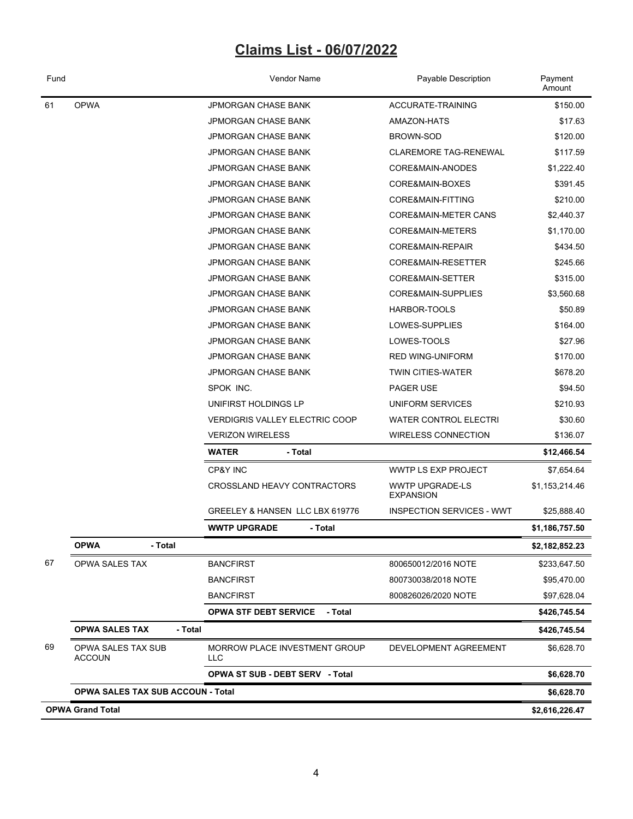| Fund                    |                                            | Vendor Name<br>Payable Description                         |                                            | Payment<br>Amount |
|-------------------------|--------------------------------------------|------------------------------------------------------------|--------------------------------------------|-------------------|
| <b>OPWA</b><br>61       |                                            | <b>JPMORGAN CHASE BANK</b>                                 | <b>ACCURATE-TRAINING</b>                   |                   |
|                         |                                            | <b>JPMORGAN CHASE BANK</b>                                 | AMAZON-HATS                                | \$17.63           |
|                         |                                            | <b>JPMORGAN CHASE BANK</b>                                 | <b>BROWN-SOD</b>                           | \$120.00          |
|                         |                                            | <b>CLAREMORE TAG-RENEWAL</b><br><b>JPMORGAN CHASE BANK</b> |                                            | \$117.59          |
|                         |                                            | <b>JPMORGAN CHASE BANK</b>                                 | CORE&MAIN-ANODES                           | \$1,222.40        |
|                         |                                            | <b>JPMORGAN CHASE BANK</b><br>CORE&MAIN-BOXES              |                                            | \$391.45          |
|                         |                                            | <b>JPMORGAN CHASE BANK</b>                                 | CORE&MAIN-FITTING                          | \$210.00          |
|                         |                                            | <b>JPMORGAN CHASE BANK</b>                                 | CORE&MAIN-METER CANS                       | \$2,440.37        |
|                         |                                            | <b>JPMORGAN CHASE BANK</b>                                 | CORE&MAIN-METERS                           | \$1,170.00        |
|                         |                                            | <b>JPMORGAN CHASE BANK</b>                                 | CORE&MAIN-REPAIR                           | \$434.50          |
|                         |                                            | <b>JPMORGAN CHASE BANK</b>                                 | CORE&MAIN-RESETTER                         | \$245.66          |
|                         |                                            | <b>JPMORGAN CHASE BANK</b>                                 | CORE&MAIN-SETTER                           | \$315.00          |
|                         |                                            | <b>JPMORGAN CHASE BANK</b>                                 | CORE&MAIN-SUPPLIES                         | \$3,560.68        |
|                         |                                            | <b>JPMORGAN CHASE BANK</b>                                 | HARBOR-TOOLS                               | \$50.89           |
|                         |                                            | <b>JPMORGAN CHASE BANK</b>                                 | LOWES-SUPPLIES                             | \$164.00          |
|                         |                                            | <b>JPMORGAN CHASE BANK</b>                                 | LOWES-TOOLS                                | \$27.96           |
|                         |                                            | <b>JPMORGAN CHASE BANK</b>                                 | <b>RED WING-UNIFORM</b>                    | \$170.00          |
|                         |                                            | <b>JPMORGAN CHASE BANK</b>                                 | <b>TWIN CITIES-WATER</b>                   | \$678.20          |
|                         |                                            | SPOK INC.                                                  | PAGER USE                                  | \$94.50           |
|                         |                                            | UNIFIRST HOLDINGS LP                                       | UNIFORM SERVICES                           | \$210.93          |
|                         |                                            | <b>VERDIGRIS VALLEY ELECTRIC COOP</b>                      | <b>WATER CONTROL ELECTRI</b>               | \$30.60           |
|                         |                                            | <b>VERIZON WIRELESS</b>                                    | <b>WIRELESS CONNECTION</b>                 | \$136.07          |
|                         |                                            | <b>WATER</b><br>- Total                                    |                                            | \$12,466.54       |
|                         |                                            | CP&Y INC                                                   | WWTP LS EXP PROJECT                        | \$7,654.64        |
|                         |                                            | CROSSLAND HEAVY CONTRACTORS                                | <b>WWTP UPGRADE-LS</b><br><b>EXPANSION</b> | \$1,153,214.46    |
|                         |                                            | GREELEY & HANSEN LLC LBX 619776                            | <b>INSPECTION SERVICES - WWT</b>           | \$25,888.40       |
|                         |                                            | <b>WWTP UPGRADE</b><br>- Total                             |                                            | \$1,186,757.50    |
|                         | - Total<br>OPWA                            |                                                            |                                            | \$2,182,852.23    |
| 67                      | OPWA SALES TAX                             | <b>BANCFIRST</b>                                           | 800650012/2016 NOTE                        | \$233,647.50      |
|                         |                                            | <b>BANCFIRST</b>                                           | 800730038/2018 NOTE                        | \$95,470.00       |
|                         |                                            | <b>BANCFIRST</b>                                           | 800826026/2020 NOTE                        | \$97,628.04       |
|                         |                                            | - Total<br><b>OPWA STF DEBT SERVICE</b>                    |                                            | \$426,745.54      |
|                         | <b>OPWA SALES TAX</b><br>- Total           |                                                            |                                            | \$426,745.54      |
| 69                      | <b>OPWA SALES TAX SUB</b><br><b>ACCOUN</b> | MORROW PLACE INVESTMENT GROUP<br><b>LLC</b>                | DEVELOPMENT AGREEMENT                      | \$6,628.70        |
|                         |                                            | <b>OPWA ST SUB - DEBT SERV - Total</b>                     |                                            | \$6,628.70        |
|                         | <b>OPWA SALES TAX SUB ACCOUN - Total</b>   |                                                            |                                            | \$6,628.70        |
| <b>OPWA Grand Total</b> |                                            |                                                            | \$2,616,226.47                             |                   |